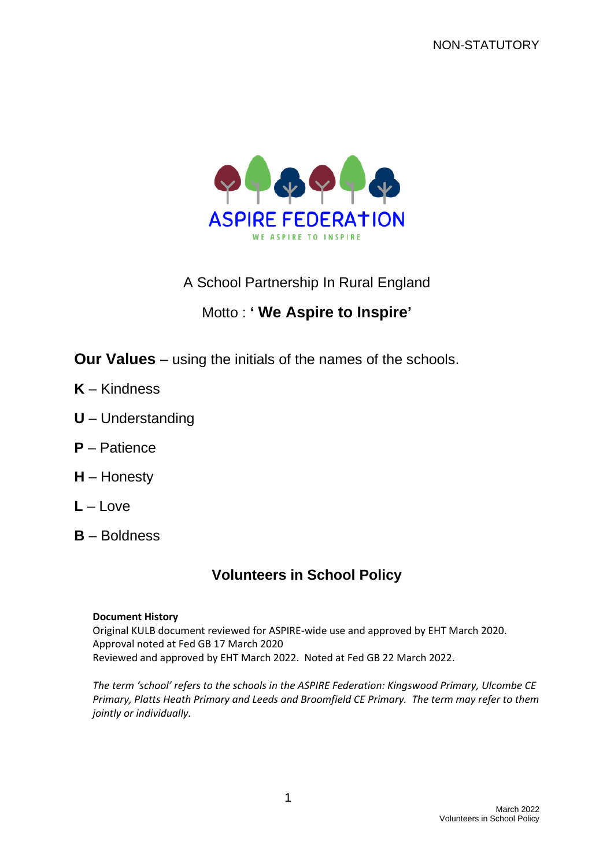

A School Partnership In Rural England

# Motto : **' We Aspire to Inspire'**

- **Our Values** using the initials of the names of the schools.
- **K** Kindness
- **U** Understanding
- **P** Patience
- **H** Honesty
- $L L$ ove
- **B** Boldness

## **Volunteers in School Policy**

#### **Document History**

Original KULB document reviewed for ASPIRE-wide use and approved by EHT March 2020. Approval noted at Fed GB 17 March 2020 Reviewed and approved by EHT March 2022. Noted at Fed GB 22 March 2022.

*The term 'school' refers to the schools in the ASPIRE Federation: Kingswood Primary, Ulcombe CE Primary, Platts Heath Primary and Leeds and Broomfield CE Primary. The term may refer to them jointly or individually.*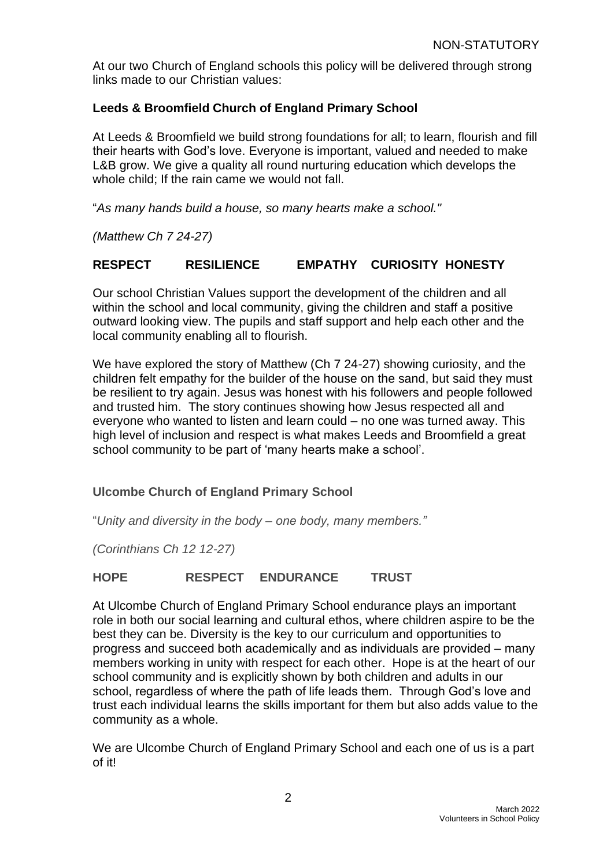At our two Church of England schools this policy will be delivered through strong links made to our Christian values:

#### **Leeds & Broomfield Church of England Primary School**

At Leeds & Broomfield we build strong foundations for all; to learn, flourish and fill their hearts with God's love. Everyone is important, valued and needed to make L&B grow. We give a quality all round nurturing education which develops the whole child; If the rain came we would not fall.

"*As many hands build a house, so many hearts make a school."*

*(Matthew Ch 7 24-27)*

#### **RESPECT RESILIENCE EMPATHY CURIOSITY HONESTY**

Our school Christian Values support the development of the children and all within the school and local community, giving the children and staff a positive outward looking view. The pupils and staff support and help each other and the local community enabling all to flourish.

We have explored the story of Matthew (Ch 7 24-27) showing curiosity, and the children felt empathy for the builder of the house on the sand, but said they must be resilient to try again. Jesus was honest with his followers and people followed and trusted him. The story continues showing how Jesus respected all and everyone who wanted to listen and learn could – no one was turned away. This high level of inclusion and respect is what makes Leeds and Broomfield a great school community to be part of 'many hearts make a school'.

#### **Ulcombe Church of England Primary School**

"*Unity and diversity in the body – one body, many members."*

*(Corinthians Ch 12 12-27)*

#### **HOPE RESPECT ENDURANCE TRUST**

At Ulcombe Church of England Primary School endurance plays an important role in both our social learning and cultural ethos, where children aspire to be the best they can be. Diversity is the key to our curriculum and opportunities to progress and succeed both academically and as individuals are provided – many members working in unity with respect for each other. Hope is at the heart of our school community and is explicitly shown by both children and adults in our school, regardless of where the path of life leads them. Through God's love and trust each individual learns the skills important for them but also adds value to the community as a whole.

We are Ulcombe Church of England Primary School and each one of us is a part of it!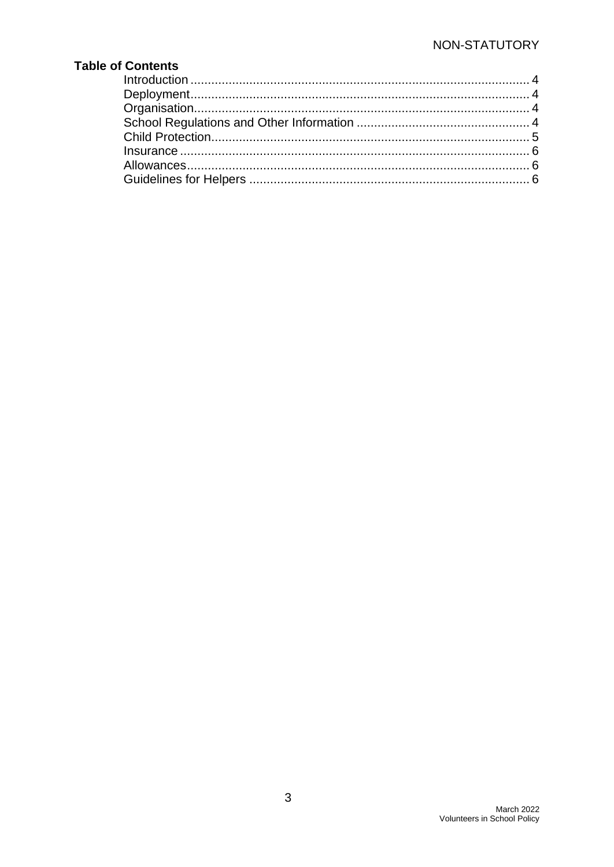### **Table of Contents**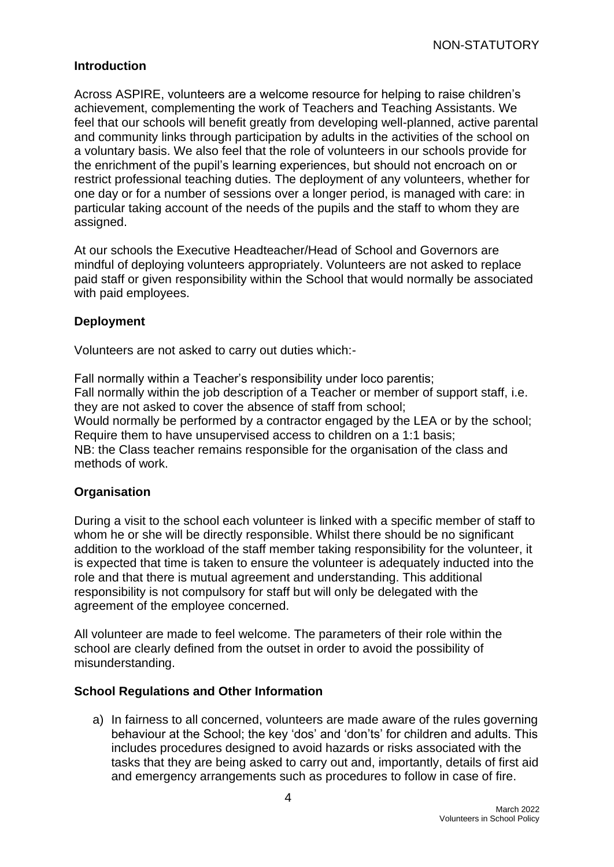#### <span id="page-3-0"></span>**Introduction**

Across ASPIRE, volunteers are a welcome resource for helping to raise children's achievement, complementing the work of Teachers and Teaching Assistants. We feel that our schools will benefit greatly from developing well-planned, active parental and community links through participation by adults in the activities of the school on a voluntary basis. We also feel that the role of volunteers in our schools provide for the enrichment of the pupil's learning experiences, but should not encroach on or restrict professional teaching duties. The deployment of any volunteers, whether for one day or for a number of sessions over a longer period, is managed with care: in particular taking account of the needs of the pupils and the staff to whom they are assigned.

At our schools the Executive Headteacher/Head of School and Governors are mindful of deploying volunteers appropriately. Volunteers are not asked to replace paid staff or given responsibility within the School that would normally be associated with paid employees.

#### <span id="page-3-1"></span>**Deployment**

Volunteers are not asked to carry out duties which:-

Fall normally within a Teacher's responsibility under loco parentis; Fall normally within the job description of a Teacher or member of support staff, i.e. they are not asked to cover the absence of staff from school; Would normally be performed by a contractor engaged by the LEA or by the school; Require them to have unsupervised access to children on a 1:1 basis; NB: the Class teacher remains responsible for the organisation of the class and methods of work.

#### <span id="page-3-2"></span>**Organisation**

During a visit to the school each volunteer is linked with a specific member of staff to whom he or she will be directly responsible. Whilst there should be no significant addition to the workload of the staff member taking responsibility for the volunteer, it is expected that time is taken to ensure the volunteer is adequately inducted into the role and that there is mutual agreement and understanding. This additional responsibility is not compulsory for staff but will only be delegated with the agreement of the employee concerned.

All volunteer are made to feel welcome. The parameters of their role within the school are clearly defined from the outset in order to avoid the possibility of misunderstanding.

#### <span id="page-3-3"></span>**School Regulations and Other Information**

a) In fairness to all concerned, volunteers are made aware of the rules governing behaviour at the School; the key 'dos' and 'don'ts' for children and adults. This includes procedures designed to avoid hazards or risks associated with the tasks that they are being asked to carry out and, importantly, details of first aid and emergency arrangements such as procedures to follow in case of fire.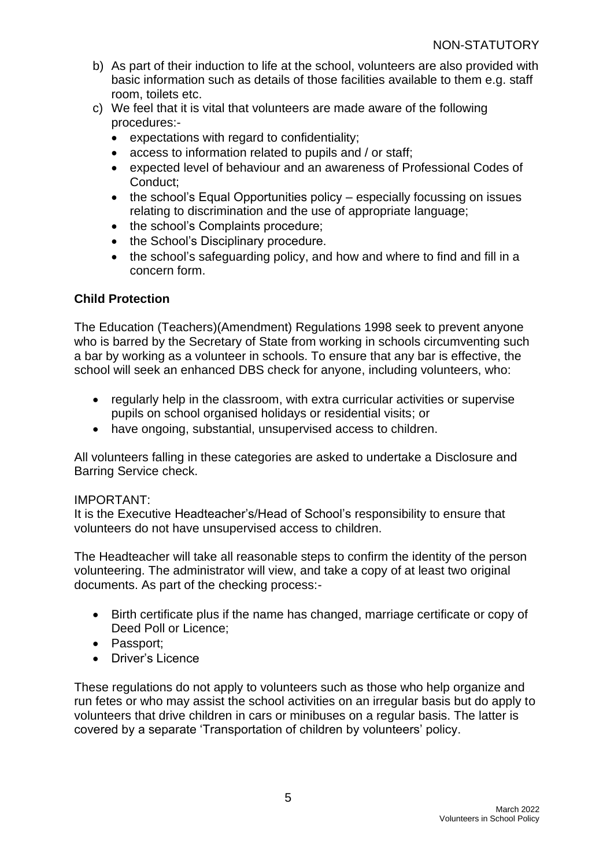- b) As part of their induction to life at the school, volunteers are also provided with basic information such as details of those facilities available to them e.g. staff room, toilets etc.
- c) We feel that it is vital that volunteers are made aware of the following procedures:-
	- expectations with regard to confidentiality;
	- access to information related to pupils and / or staff;
	- expected level of behaviour and an awareness of Professional Codes of Conduct;
	- the school's Equal Opportunities policy especially focussing on issues relating to discrimination and the use of appropriate language;
	- the school's Complaints procedure;
	- the School's Disciplinary procedure.
	- the school's safeguarding policy, and how and where to find and fill in a concern form.

### <span id="page-4-0"></span>**Child Protection**

The Education (Teachers)(Amendment) Regulations 1998 seek to prevent anyone who is barred by the Secretary of State from working in schools circumventing such a bar by working as a volunteer in schools. To ensure that any bar is effective, the school will seek an enhanced DBS check for anyone, including volunteers, who:

- regularly help in the classroom, with extra curricular activities or supervise pupils on school organised holidays or residential visits; or
- have ongoing, substantial, unsupervised access to children.

All volunteers falling in these categories are asked to undertake a Disclosure and Barring Service check.

#### IMPORTANT:

It is the Executive Headteacher's/Head of School's responsibility to ensure that volunteers do not have unsupervised access to children.

The Headteacher will take all reasonable steps to confirm the identity of the person volunteering. The administrator will view, and take a copy of at least two original documents. As part of the checking process:-

- Birth certificate plus if the name has changed, marriage certificate or copy of Deed Poll or Licence;
- Passport;
- Driver's Licence

These regulations do not apply to volunteers such as those who help organize and run fetes or who may assist the school activities on an irregular basis but do apply to volunteers that drive children in cars or minibuses on a regular basis. The latter is covered by a separate 'Transportation of children by volunteers' policy.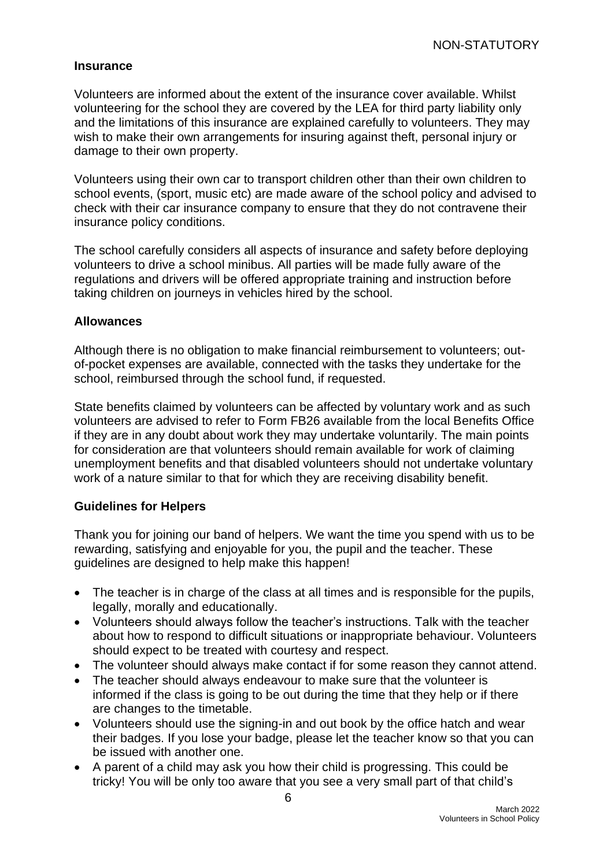#### <span id="page-5-0"></span>**Insurance**

Volunteers are informed about the extent of the insurance cover available. Whilst volunteering for the school they are covered by the LEA for third party liability only and the limitations of this insurance are explained carefully to volunteers. They may wish to make their own arrangements for insuring against theft, personal injury or damage to their own property.

Volunteers using their own car to transport children other than their own children to school events, (sport, music etc) are made aware of the school policy and advised to check with their car insurance company to ensure that they do not contravene their insurance policy conditions.

The school carefully considers all aspects of insurance and safety before deploying volunteers to drive a school minibus. All parties will be made fully aware of the regulations and drivers will be offered appropriate training and instruction before taking children on journeys in vehicles hired by the school.

#### <span id="page-5-1"></span>**Allowances**

Although there is no obligation to make financial reimbursement to volunteers; outof-pocket expenses are available, connected with the tasks they undertake for the school, reimbursed through the school fund, if requested.

State benefits claimed by volunteers can be affected by voluntary work and as such volunteers are advised to refer to Form FB26 available from the local Benefits Office if they are in any doubt about work they may undertake voluntarily. The main points for consideration are that volunteers should remain available for work of claiming unemployment benefits and that disabled volunteers should not undertake voluntary work of a nature similar to that for which they are receiving disability benefit.

#### <span id="page-5-2"></span>**Guidelines for Helpers**

Thank you for joining our band of helpers. We want the time you spend with us to be rewarding, satisfying and enjoyable for you, the pupil and the teacher. These guidelines are designed to help make this happen!

- The teacher is in charge of the class at all times and is responsible for the pupils, legally, morally and educationally.
- Volunteers should always follow the teacher's instructions. Talk with the teacher about how to respond to difficult situations or inappropriate behaviour. Volunteers should expect to be treated with courtesy and respect.
- The volunteer should always make contact if for some reason they cannot attend.
- The teacher should always endeavour to make sure that the volunteer is informed if the class is going to be out during the time that they help or if there are changes to the timetable.
- Volunteers should use the signing-in and out book by the office hatch and wear their badges. If you lose your badge, please let the teacher know so that you can be issued with another one.
- A parent of a child may ask you how their child is progressing. This could be tricky! You will be only too aware that you see a very small part of that child's